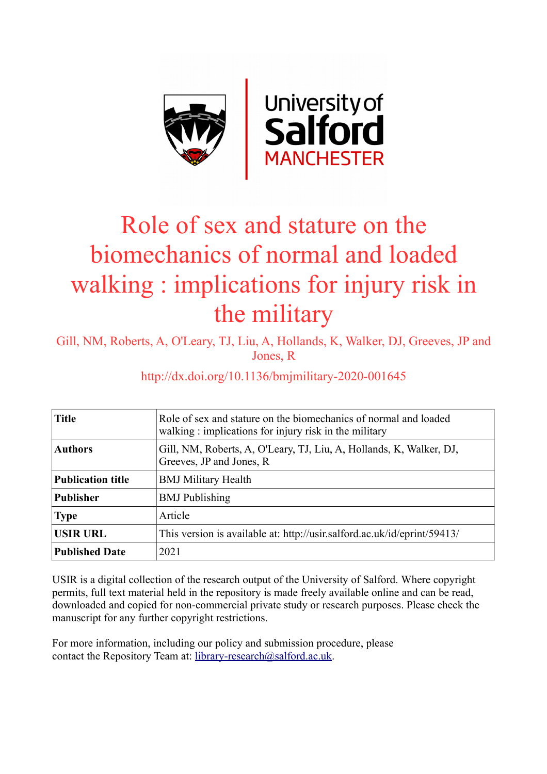

# Role of sex and stature on the biomechanics of normal and loaded walking : implications for injury risk in the military

Gill, NM, Roberts, A, O'Leary, TJ, Liu, A, Hollands, K, Walker, DJ, Greeves, JP and Jones, R

# http://dx.doi.org/10.1136/bmjmilitary-2020-001645

| <b>Title</b>             | Role of sex and stature on the biomechanics of normal and loaded<br>walking: implications for injury risk in the military |
|--------------------------|---------------------------------------------------------------------------------------------------------------------------|
| <b>Authors</b>           | Gill, NM, Roberts, A, O'Leary, TJ, Liu, A, Hollands, K, Walker, DJ,<br>Greeves, JP and Jones, R                           |
| <b>Publication title</b> | <b>BMJ Military Health</b>                                                                                                |
| <b>Publisher</b>         | <b>BMJ</b> Publishing                                                                                                     |
| <b>Type</b>              | Article                                                                                                                   |
| <b>USIR URL</b>          | This version is available at: http://usir.salford.ac.uk/id/eprint/59413/                                                  |
| <b>Published Date</b>    | 2021                                                                                                                      |

USIR is a digital collection of the research output of the University of Salford. Where copyright permits, full text material held in the repository is made freely available online and can be read, downloaded and copied for non-commercial private study or research purposes. Please check the manuscript for any further copyright restrictions.

For more information, including our policy and submission procedure, please contact the Repository Team at: [library-research@salford.ac.uk.](mailto:library-research@salford.ac.uk)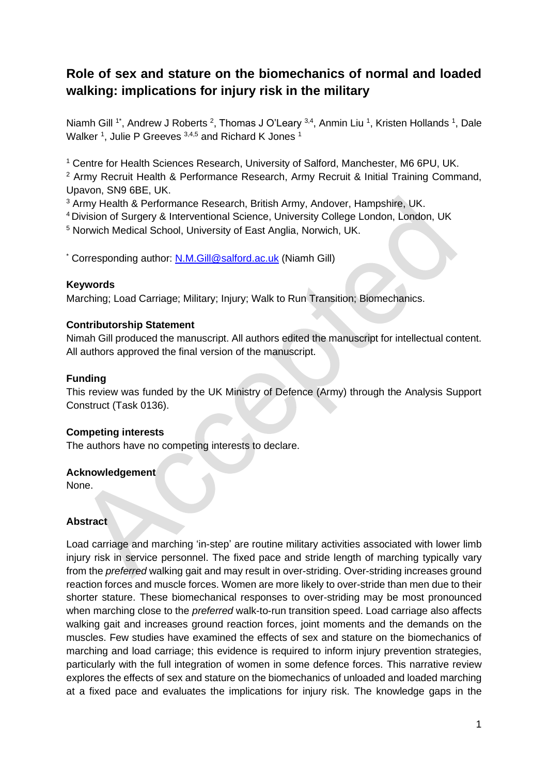# **Role of sex and stature on the biomechanics of normal and loaded walking: implications for injury risk in the military**

Niamh Gill <sup>1\*</sup>, Andrew J Roberts <sup>2</sup>, Thomas J O'Leary <sup>3,4</sup>, Anmin Liu <sup>1</sup>, Kristen Hollands <sup>1</sup>, Dale Walker<sup>1</sup>, Julie P Greeves  $3,4,5$  and Richard K Jones<sup>1</sup>

<sup>1</sup> Centre for Health Sciences Research, University of Salford, Manchester, M6 6PU, UK.

<sup>2</sup> Army Recruit Health & Performance Research, Army Recruit & Initial Training Command, Upavon, SN9 6BE, UK.

<sup>3</sup> Army Health & Performance Research, British Army, Andover, Hampshire, UK.

<sup>4</sup>Division of Surgery & Interventional Science, University College London, London, UK

<sup>5</sup> Norwich Medical School, University of East Anglia, Norwich, UK.

\* Corresponding author: [N.M.Gill@salford.ac.uk](mailto:N.M.Gill@salford.ac.uk) (Niamh Gill)

#### **Keywords**

Marching; Load Carriage; Military; Injury; Walk to Run Transition; Biomechanics.

#### **Contributorship Statement**

Nimah Gill produced the manuscript. All authors edited the manuscript for intellectual content. All authors approved the final version of the manuscript.

# **Funding**

This review was funded by the UK Ministry of Defence (Army) through the Analysis Support Construct (Task 0136).

# **Competing interests**

The authors have no competing interests to declare.

#### **Acknowledgement**

None.

#### **Abstract**

Load carriage and marching 'in-step' are routine military activities associated with lower limb injury risk in service personnel. The fixed pace and stride length of marching typically vary from the *preferred* walking gait and may result in over-striding. Over-striding increases ground reaction forces and muscle forces. Women are more likely to over-stride than men due to their shorter stature. These biomechanical responses to over-striding may be most pronounced when marching close to the *preferred* walk-to-run transition speed. Load carriage also affects walking gait and increases ground reaction forces, joint moments and the demands on the muscles. Few studies have examined the effects of sex and stature on the biomechanics of marching and load carriage; this evidence is required to inform injury prevention strategies, particularly with the full integration of women in some defence forces. This narrative review explores the effects of sex and stature on the biomechanics of unloaded and loaded marching at a fixed pace and evaluates the implications for injury risk. The knowledge gaps in the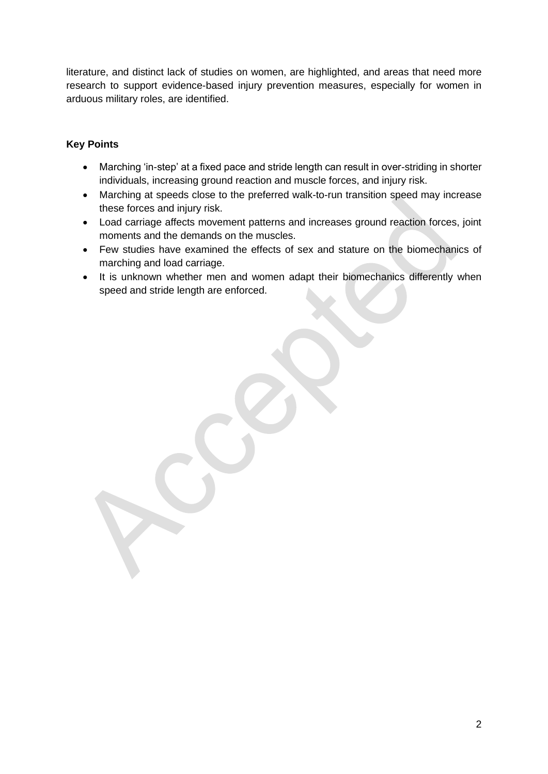literature, and distinct lack of studies on women, are highlighted, and areas that need more research to support evidence-based injury prevention measures, especially for women in arduous military roles, are identified.

# **Key Points**

- Marching 'in-step' at a fixed pace and stride length can result in over-striding in shorter individuals, increasing ground reaction and muscle forces, and injury risk.
- Marching at speeds close to the preferred walk-to-run transition speed may increase these forces and injury risk.
- Load carriage affects movement patterns and increases ground reaction forces, joint moments and the demands on the muscles.
- Few studies have examined the effects of sex and stature on the biomechanics of marching and load carriage.
- It is unknown whether men and women adapt their biomechanics differently when speed and stride length are enforced.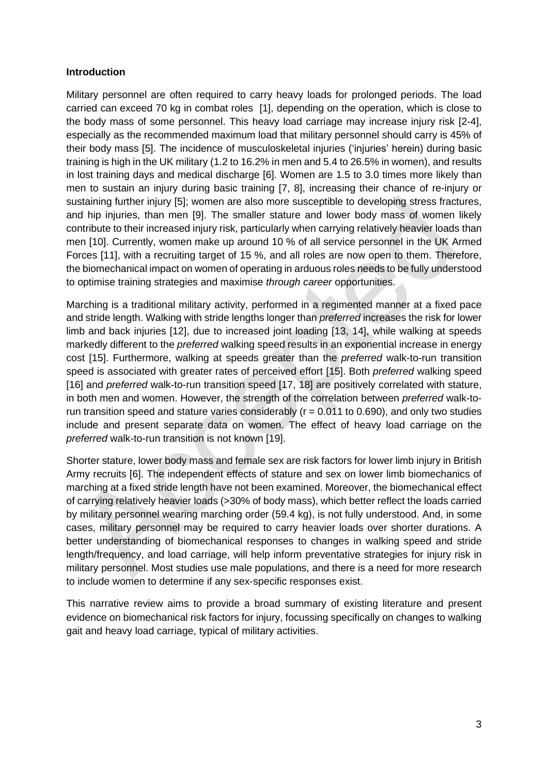#### **Introduction**

Military personnel are often required to carry heavy loads for prolonged periods. The load carried can exceed 70 kg in combat roles [1], depending on the operation, which is close to the body mass of some personnel. This heavy load carriage may increase injury risk [2-4], especially as the recommended maximum load that military personnel should carry is 45% of their body mass [5]. The incidence of musculoskeletal injuries ('injuries' herein) during basic training is high in the UK military (1.2 to 16.2% in men and 5.4 to 26.5% in women), and results in lost training days and medical discharge [6]. Women are 1.5 to 3.0 times more likely than men to sustain an injury during basic training [7, 8], increasing their chance of re-injury or sustaining further injury [5]; women are also more susceptible to developing stress fractures, and hip injuries, than men [9]. The smaller stature and lower body mass of women likely contribute to their increased injury risk, particularly when carrying relatively heavier loads than men [10]. Currently, women make up around 10 % of all service personnel in the UK Armed Forces [11], with a recruiting target of 15 %, and all roles are now open to them. Therefore, the biomechanical impact on women of operating in arduous roles needs to be fully understood to optimise training strategies and maximise *through career* opportunities.

Marching is a traditional military activity, performed in a regimented manner at a fixed pace and stride length. Walking with stride lengths longer than *preferred* increases the risk for lower limb and back injuries [12], due to increased joint loading [13, 14], while walking at speeds markedly different to the *preferred* walking speed results in an exponential increase in energy cost [15]. Furthermore, walking at speeds greater than the *preferred* walk-to-run transition speed is associated with greater rates of perceived effort [15]. Both *preferred* walking speed [16] and *preferred* walk-to-run transition speed [17, 18] are positively correlated with stature, in both men and women. However, the strength of the correlation between *preferred* walk-torun transition speed and stature varies considerably ( $r = 0.011$  to 0.690), and only two studies include and present separate data on women. The effect of heavy load carriage on the *preferred* walk-to-run transition is not known [19].

Shorter stature, lower body mass and female sex are risk factors for lower limb injury in British Army recruits [6]. The independent effects of stature and sex on lower limb biomechanics of marching at a fixed stride length have not been examined. Moreover, the biomechanical effect of carrying relatively heavier loads (>30% of body mass), which better reflect the loads carried by military personnel wearing marching order (59.4 kg), is not fully understood. And, in some cases, military personnel may be required to carry heavier loads over shorter durations. A better understanding of biomechanical responses to changes in walking speed and stride length/frequency, and load carriage, will help inform preventative strategies for injury risk in military personnel. Most studies use male populations, and there is a need for more research to include women to determine if any sex-specific responses exist.

This narrative review aims to provide a broad summary of existing literature and present evidence on biomechanical risk factors for injury, focussing specifically on changes to walking gait and heavy load carriage, typical of military activities.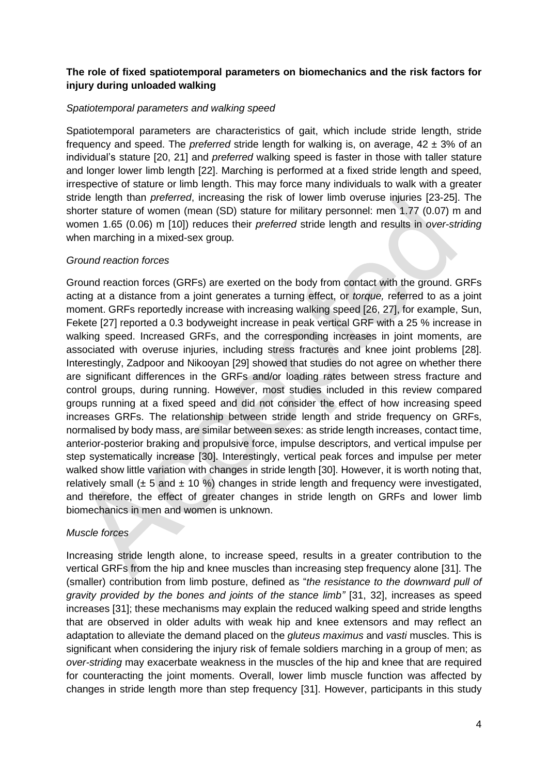# **The role of fixed spatiotemporal parameters on biomechanics and the risk factors for injury during unloaded walking**

#### *Spatiotemporal parameters and walking speed*

Spatiotemporal parameters are characteristics of gait, which include stride length, stride frequency and speed. The *preferred* stride length for walking is, on average, 42 ± 3% of an individual's stature [20, 21] and *preferred* walking speed is faster in those with taller stature and longer lower limb length [22]. Marching is performed at a fixed stride length and speed, irrespective of stature or limb length. This may force many individuals to walk with a greater stride length than *preferred*, increasing the risk of lower limb overuse injuries [23-25]. The shorter stature of women (mean (SD) stature for military personnel: men 1.77 (0.07) m and women 1.65 (0.06) m [10]) reduces their *preferred* stride length and results in *over-striding* when marching in a mixed-sex group*.*

#### *Ground reaction forces*

Ground reaction forces (GRFs) are exerted on the body from contact with the ground. GRFs acting at a distance from a joint generates a turning effect, or *torque,* referred to as a joint moment. GRFs reportedly increase with increasing walking speed [26, 27], for example, Sun, Fekete [27] reported a 0.3 bodyweight increase in peak vertical GRF with a 25 % increase in walking speed. Increased GRFs, and the corresponding increases in joint moments, are associated with overuse injuries, including stress fractures and knee joint problems [28]. Interestingly, Zadpoor and Nikooyan [29] showed that studies do not agree on whether there are significant differences in the GRFs and/or loading rates between stress fracture and control groups, during running. However, most studies included in this review compared groups running at a fixed speed and did not consider the effect of how increasing speed increases GRFs. The relationship between stride length and stride frequency on GRFs, normalised by body mass, are similar between sexes: as stride length increases, contact time, anterior-posterior braking and propulsive force, impulse descriptors, and vertical impulse per step systematically increase [30]. Interestingly, vertical peak forces and impulse per meter walked show little variation with changes in stride length [30]. However, it is worth noting that, relatively small ( $\pm$  5 and  $\pm$  10 %) changes in stride length and frequency were investigated, and therefore, the effect of greater changes in stride length on GRFs and lower limb biomechanics in men and women is unknown.

# *Muscle forces*

Increasing stride length alone, to increase speed, results in a greater contribution to the vertical GRFs from the hip and knee muscles than increasing step frequency alone [31]. The (smaller) contribution from limb posture, defined as "*the resistance to the downward pull of gravity provided by the bones and joints of the stance limb"* [31, 32], increases as speed increases [31]; these mechanisms may explain the reduced walking speed and stride lengths that are observed in older adults with weak hip and knee extensors and may reflect an adaptation to alleviate the demand placed on the *gluteus maximus* and *vasti* muscles. This is significant when considering the injury risk of female soldiers marching in a group of men; as *over-striding* may exacerbate weakness in the muscles of the hip and knee that are required for counteracting the joint moments. Overall, lower limb muscle function was affected by changes in stride length more than step frequency [31]. However, participants in this study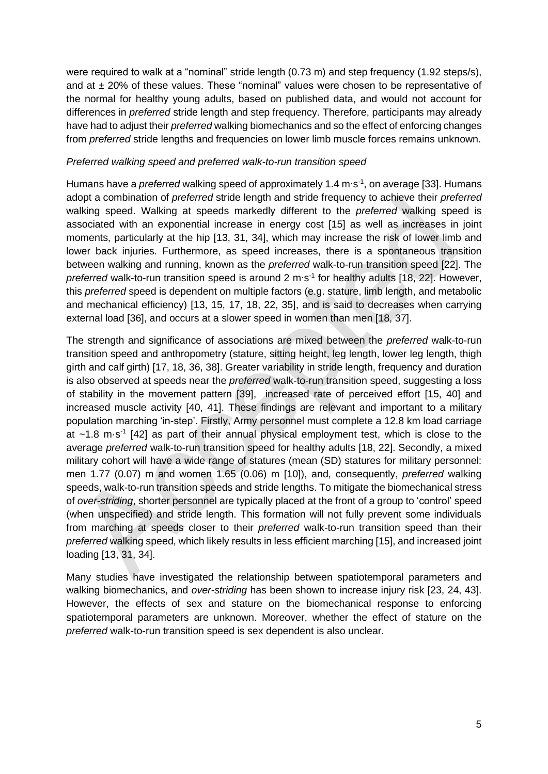were required to walk at a "nominal" stride length (0.73 m) and step frequency (1.92 steps/s), and at  $\pm$  20% of these values. These "nominal" values were chosen to be representative of the normal for healthy young adults, based on published data, and would not account for differences in *preferred* stride length and step frequency. Therefore, participants may already have had to adjust their *preferred* walking biomechanics and so the effect of enforcing changes from *preferred* stride lengths and frequencies on lower limb muscle forces remains unknown.

#### *Preferred walking speed and preferred walk-to-run transition speed*

Humans have a *preferred* walking speed of approximately 1.4 m⋅s<sup>-1</sup>, on average [33]. Humans adopt a combination of *preferred* stride length and stride frequency to achieve their *preferred* walking speed. Walking at speeds markedly different to the *preferred* walking speed is associated with an exponential increase in energy cost [15] as well as increases in joint moments, particularly at the hip [13, 31, 34], which may increase the risk of lower limb and lower back injuries. Furthermore, as speed increases, there is a spontaneous transition between walking and running, known as the *preferred* walk-to-run transition speed [22]. The preferred walk-to-run transition speed is around 2 m⋅s<sup>-1</sup> for healthy adults [18, 22]. However, this *preferred* speed is dependent on multiple factors (e.g. stature, limb length, and metabolic and mechanical efficiency) [13, 15, 17, 18, 22, 35], and is said to decreases when carrying external load [36], and occurs at a slower speed in women than men [18, 37].

The strength and significance of associations are mixed between the *preferred* walk-to-run transition speed and anthropometry (stature, sitting height, leg length, lower leg length, thigh girth and calf girth) [17, 18, 36, 38]. Greater variability in stride length, frequency and duration is also observed at speeds near the *preferred* walk-to-run transition speed, suggesting a loss of stability in the movement pattern [39], increased rate of perceived effort [15, 40] and increased muscle activity [40, 41]. These findings are relevant and important to a military population marching 'in-step'. Firstly, Army personnel must complete a 12.8 km load carriage at  $~1.8$  m·s<sup>-1</sup> [42] as part of their annual physical employment test, which is close to the average *preferred* walk-to-run transition speed for healthy adults [18, 22]. Secondly, a mixed military cohort will have a wide range of statures (mean (SD) statures for military personnel: men 1.77 (0.07) m and women 1.65 (0.06) m [10]), and, consequently, *preferred* walking speeds, walk-to-run transition speeds and stride lengths. To mitigate the biomechanical stress of *over-striding*, shorter personnel are typically placed at the front of a group to 'control' speed (when unspecified) and stride length. This formation will not fully prevent some individuals from marching at speeds closer to their *preferred* walk-to-run transition speed than their *preferred* walking speed, which likely results in less efficient marching [15], and increased joint loading [13, 31, 34].

Many studies have investigated the relationship between spatiotemporal parameters and walking biomechanics, and *over-striding* has been shown to increase injury risk [23, 24, 43]. However, the effects of sex and stature on the biomechanical response to enforcing spatiotemporal parameters are unknown. Moreover, whether the effect of stature on the *preferred* walk-to-run transition speed is sex dependent is also unclear.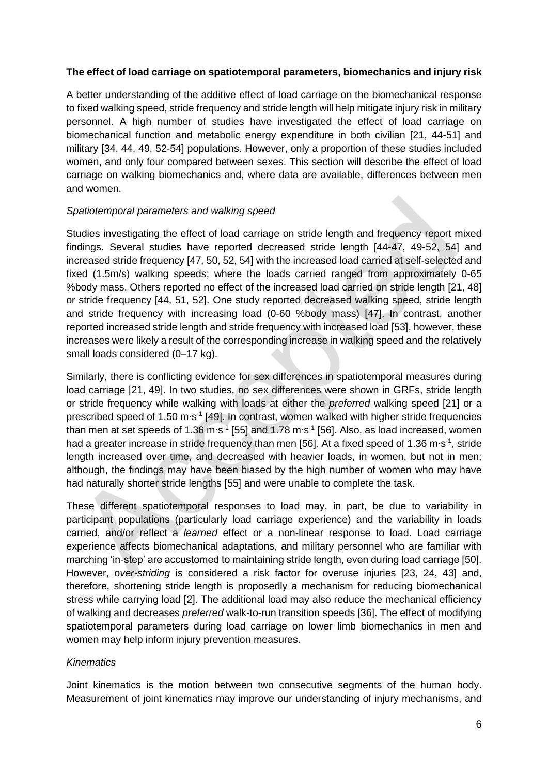#### **The effect of load carriage on spatiotemporal parameters, biomechanics and injury risk**

A better understanding of the additive effect of load carriage on the biomechanical response to fixed walking speed, stride frequency and stride length will help mitigate injury risk in military personnel. A high number of studies have investigated the effect of load carriage on biomechanical function and metabolic energy expenditure in both civilian [21, 44-51] and military [34, 44, 49, 52-54] populations. However, only a proportion of these studies included women, and only four compared between sexes. This section will describe the effect of load carriage on walking biomechanics and, where data are available, differences between men and women.

#### *Spatiotemporal parameters and walking speed*

Studies investigating the effect of load carriage on stride length and frequency report mixed findings. Several studies have reported decreased stride length [44-47, 49-52, 54] and increased stride frequency [47, 50, 52, 54] with the increased load carried at self-selected and fixed (1.5m/s) walking speeds; where the loads carried ranged from approximately 0-65 %body mass. Others reported no effect of the increased load carried on stride length [21, 48] or stride frequency [44, 51, 52]. One study reported decreased walking speed, stride length and stride frequency with increasing load (0-60 %body mass) [47]. In contrast, another reported increased stride length and stride frequency with increased load [53], however, these increases were likely a result of the corresponding increase in walking speed and the relatively small loads considered (0–17 kg).

Similarly, there is conflicting evidence for sex differences in spatiotemporal measures during load carriage [21, 49]. In two studies, no sex differences were shown in GRFs, stride length or stride frequency while walking with loads at either the *preferred* walking speed [21] or a prescribed speed of 1.50 m⋅s<sup>-1</sup> [49]. In contrast, women walked with higher stride frequencies than men at set speeds of 1.36 m⋅s<sup>-1</sup> [55] and 1.78 m⋅s<sup>-1</sup> [56]. Also, as load increased, women had a greater increase in stride frequency than men [56]. At a fixed speed of 1.36 m⋅s<sup>-1</sup>, stride length increased over time, and decreased with heavier loads, in women, but not in men; although, the findings may have been biased by the high number of women who may have had naturally shorter stride lengths [55] and were unable to complete the task.

These different spatiotemporal responses to load may, in part, be due to variability in participant populations (particularly load carriage experience) and the variability in loads carried, and/or reflect a *learned* effect or a non-linear response to load. Load carriage experience affects biomechanical adaptations, and military personnel who are familiar with marching 'in-step' are accustomed to maintaining stride length, even during load carriage [50]. However, o*ver-striding* is considered a risk factor for overuse injuries [23, 24, 43] and, therefore, shortening stride length is proposedly a mechanism for reducing biomechanical stress while carrying load [2]. The additional load may also reduce the mechanical efficiency of walking and decreases *preferred* walk-to-run transition speeds [36]. The effect of modifying spatiotemporal parameters during load carriage on lower limb biomechanics in men and women may help inform injury prevention measures.

# *Kinematics*

Joint kinematics is the motion between two consecutive segments of the human body. Measurement of joint kinematics may improve our understanding of injury mechanisms, and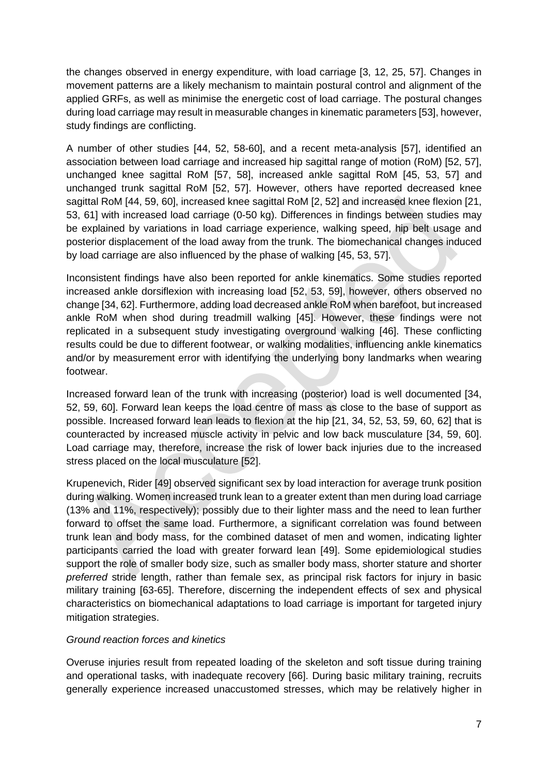the changes observed in energy expenditure, with load carriage [3, 12, 25, 57]. Changes in movement patterns are a likely mechanism to maintain postural control and alignment of the applied GRFs, as well as minimise the energetic cost of load carriage. The postural changes during load carriage may result in measurable changes in kinematic parameters [53], however, study findings are conflicting.

A number of other studies [44, 52, 58-60], and a recent meta-analysis [57], identified an association between load carriage and increased hip sagittal range of motion (RoM) [52, 57], unchanged knee sagittal RoM [57, 58], increased ankle sagittal RoM [45, 53, 57] and unchanged trunk sagittal RoM [52, 57]. However, others have reported decreased knee sagittal RoM [44, 59, 60], increased knee sagittal RoM [2, 52] and increased knee flexion [21, 53, 61] with increased load carriage (0-50 kg). Differences in findings between studies may be explained by variations in load carriage experience, walking speed, hip belt usage and posterior displacement of the load away from the trunk. The biomechanical changes induced by load carriage are also influenced by the phase of walking [45, 53, 57].

Inconsistent findings have also been reported for ankle kinematics. Some studies reported increased ankle dorsiflexion with increasing load [52, 53, 59], however, others observed no change [34, 62]. Furthermore, adding load decreased ankle RoM when barefoot, but increased ankle RoM when shod during treadmill walking [45]. However, these findings were not replicated in a subsequent study investigating overground walking [46]. These conflicting results could be due to different footwear, or walking modalities, influencing ankle kinematics and/or by measurement error with identifying the underlying bony landmarks when wearing footwear.

Increased forward lean of the trunk with increasing (posterior) load is well documented [34, 52, 59, 60]. Forward lean keeps the load centre of mass as close to the base of support as possible. Increased forward lean leads to flexion at the hip [21, 34, 52, 53, 59, 60, 62] that is counteracted by increased muscle activity in pelvic and low back musculature [34, 59, 60]. Load carriage may, therefore, increase the risk of lower back injuries due to the increased stress placed on the local musculature [52].

Krupenevich, Rider [49] observed significant sex by load interaction for average trunk position during walking. Women increased trunk lean to a greater extent than men during load carriage (13% and 11%, respectively); possibly due to their lighter mass and the need to lean further forward to offset the same load. Furthermore, a significant correlation was found between trunk lean and body mass, for the combined dataset of men and women, indicating lighter participants carried the load with greater forward lean [49]. Some epidemiological studies support the role of smaller body size, such as smaller body mass, shorter stature and shorter *preferred* stride length, rather than female sex, as principal risk factors for injury in basic military training [63-65]. Therefore, discerning the independent effects of sex and physical characteristics on biomechanical adaptations to load carriage is important for targeted injury mitigation strategies.

#### *Ground reaction forces and kinetics*

Overuse injuries result from repeated loading of the skeleton and soft tissue during training and operational tasks, with inadequate recovery [66]. During basic military training, recruits generally experience increased unaccustomed stresses, which may be relatively higher in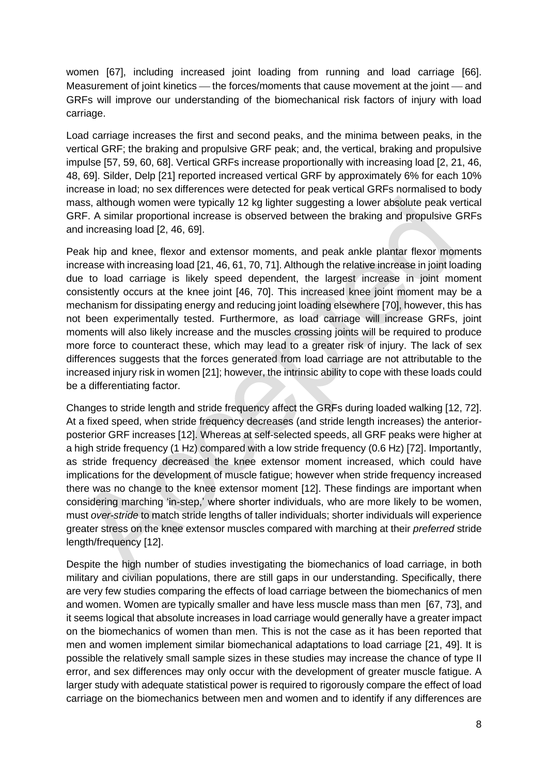women [67], including increased joint loading from running and load carriage [66]. Measurement of joint kinetics — the forces/moments that cause movement at the joint — and GRFs will improve our understanding of the biomechanical risk factors of injury with load carriage.

Load carriage increases the first and second peaks, and the minima between peaks, in the vertical GRF; the braking and propulsive GRF peak; and, the vertical, braking and propulsive impulse [57, 59, 60, 68]. Vertical GRFs increase proportionally with increasing load [2, 21, 46, 48, 69]. Silder, Delp [21] reported increased vertical GRF by approximately 6% for each 10% increase in load; no sex differences were detected for peak vertical GRFs normalised to body mass, although women were typically 12 kg lighter suggesting a lower absolute peak vertical GRF. A similar proportional increase is observed between the braking and propulsive GRFs and increasing load [2, 46, 69].

Peak hip and knee, flexor and extensor moments, and peak ankle plantar flexor moments increase with increasing load [21, 46, 61, 70, 71]. Although the relative increase in joint loading due to load carriage is likely speed dependent, the largest increase in joint moment consistently occurs at the knee joint [46, 70]. This increased knee joint moment may be a mechanism for dissipating energy and reducing joint loading elsewhere [70], however, this has not been experimentally tested. Furthermore, as load carriage will increase GRFs, joint moments will also likely increase and the muscles crossing joints will be required to produce more force to counteract these, which may lead to a greater risk of injury. The lack of sex differences suggests that the forces generated from load carriage are not attributable to the increased injury risk in women [21]; however, the intrinsic ability to cope with these loads could be a differentiating factor.

Changes to stride length and stride frequency affect the GRFs during loaded walking [12, 72]. At a fixed speed, when stride frequency decreases (and stride length increases) the anteriorposterior GRF increases [12]. Whereas at self-selected speeds, all GRF peaks were higher at a high stride frequency (1 Hz) compared with a low stride frequency (0.6 Hz) [72]. Importantly, as stride frequency decreased the knee extensor moment increased, which could have implications for the development of muscle fatigue; however when stride frequency increased there was no change to the knee extensor moment [12]. These findings are important when considering marching 'in-step,' where shorter individuals, who are more likely to be women, must *over-stride* to match stride lengths of taller individuals; shorter individuals will experience greater stress on the knee extensor muscles compared with marching at their *preferred* stride length/frequency [12].

Despite the high number of studies investigating the biomechanics of load carriage, in both military and civilian populations, there are still gaps in our understanding. Specifically, there are very few studies comparing the effects of load carriage between the biomechanics of men and women. Women are typically smaller and have less muscle mass than men [67, 73], and it seems logical that absolute increases in load carriage would generally have a greater impact on the biomechanics of women than men. This is not the case as it has been reported that men and women implement similar biomechanical adaptations to load carriage [21, 49]. It is possible the relatively small sample sizes in these studies may increase the chance of type II error, and sex differences may only occur with the development of greater muscle fatigue. A larger study with adequate statistical power is required to rigorously compare the effect of load carriage on the biomechanics between men and women and to identify if any differences are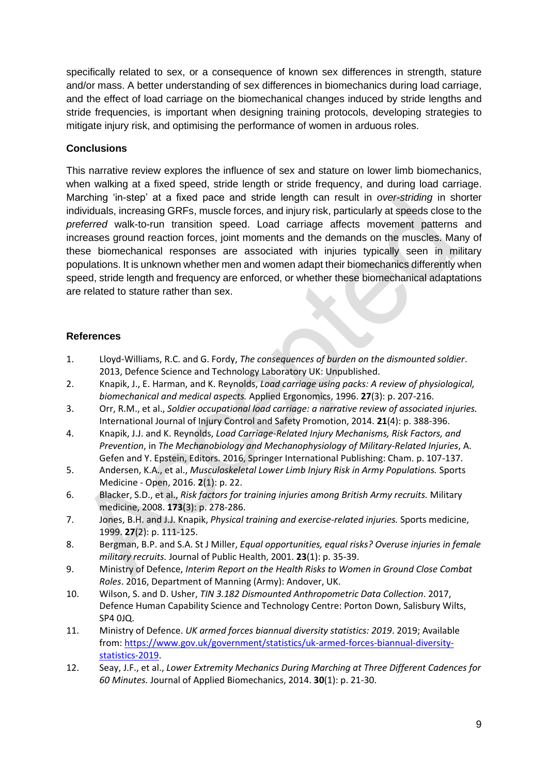specifically related to sex, or a consequence of known sex differences in strength, stature and/or mass. A better understanding of sex differences in biomechanics during load carriage, and the effect of load carriage on the biomechanical changes induced by stride lengths and stride frequencies, is important when designing training protocols, developing strategies to mitigate injury risk, and optimising the performance of women in arduous roles.

# **Conclusions**

This narrative review explores the influence of sex and stature on lower limb biomechanics, when walking at a fixed speed, stride length or stride frequency, and during load carriage. Marching 'in-step' at a fixed pace and stride length can result in *over-striding* in shorter individuals, increasing GRFs, muscle forces, and injury risk, particularly at speeds close to the *preferred* walk-to-run transition speed. Load carriage affects movement patterns and increases ground reaction forces, joint moments and the demands on the muscles. Many of these biomechanical responses are associated with injuries typically seen in military populations. It is unknown whether men and women adapt their biomechanics differently when speed, stride length and frequency are enforced, or whether these biomechanical adaptations are related to stature rather than sex.

#### **References**

- 1. Lloyd-Williams, R.C. and G. Fordy, *The consequences of burden on the dismounted soldier*. 2013, Defence Science and Technology Laboratory UK: Unpublished.
- 2. Knapik, J., E. Harman, and K. Reynolds, *Load carriage using packs: A review of physiological, biomechanical and medical aspects.* Applied Ergonomics, 1996. **27**(3): p. 207-216.
- 3. Orr, R.M., et al., *Soldier occupational load carriage: a narrative review of associated injuries.* International Journal of Injury Control and Safety Promotion, 2014. **21**(4): p. 388-396.
- 4. Knapik, J.J. and K. Reynolds, *Load Carriage-Related Injury Mechanisms, Risk Factors, and Prevention*, in *The Mechanobiology and Mechanophysiology of Military-Related Injuries*, A. Gefen and Y. Epstein, Editors. 2016, Springer International Publishing: Cham. p. 107-137.
- 5. Andersen, K.A., et al., *Musculoskeletal Lower Limb Injury Risk in Army Populations.* Sports Medicine - Open, 2016. **2**(1): p. 22.
- 6. Blacker, S.D., et al., *Risk factors for training injuries among British Army recruits.* Military medicine, 2008. **173**(3): p. 278-286.
- 7. Jones, B.H. and J.J. Knapik, *Physical training and exercise-related injuries.* Sports medicine, 1999. **27**(2): p. 111-125.
- 8. Bergman, B.P. and S.A. St J Miller, *Equal opportunities, equal risks? Overuse injuries in female military recruits.* Journal of Public Health, 2001. **23**(1): p. 35-39.
- 9. Ministry of Defence, *Interim Report on the Health Risks to Women in Ground Close Combat Roles*. 2016, Department of Manning (Army): Andover, UK.
- 10. Wilson, S. and D. Usher, *TIN 3.182 Dismounted Anthropometric Data Collection*. 2017, Defence Human Capability Science and Technology Centre: Porton Down, Salisbury Wilts, SP4 0JQ.
- 11. Ministry of Defence. *UK armed forces biannual diversity statistics: 2019*. 2019; Available from: [https://www.gov.uk/government/statistics/uk-armed-forces-biannual-diversity](https://www.gov.uk/government/statistics/uk-armed-forces-biannual-diversity-statistics-2019)[statistics-2019.](https://www.gov.uk/government/statistics/uk-armed-forces-biannual-diversity-statistics-2019)
- 12. Seay, J.F., et al., *Lower Extremity Mechanics During Marching at Three Different Cadences for 60 Minutes.* Journal of Applied Biomechanics, 2014. **30**(1): p. 21-30.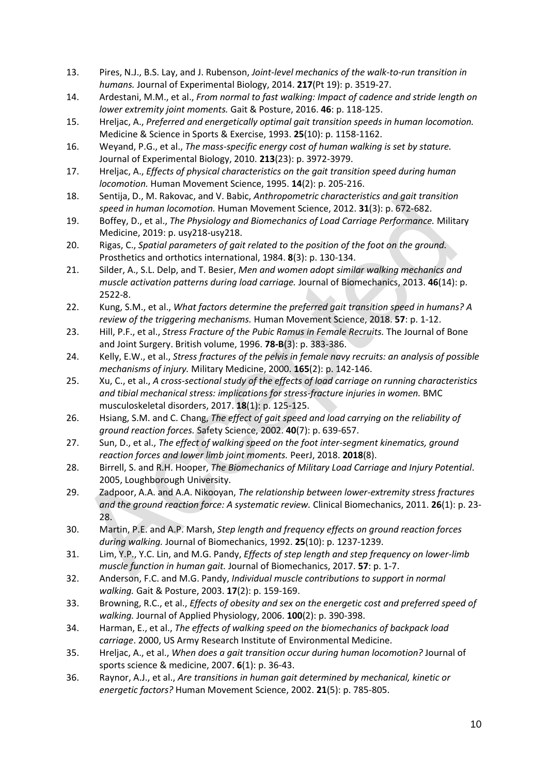- 13. Pires, N.J., B.S. Lay, and J. Rubenson, *Joint-level mechanics of the walk-to-run transition in humans.* Journal of Experimental Biology, 2014. **217**(Pt 19): p. 3519-27.
- 14. Ardestani, M.M., et al., *From normal to fast walking: Impact of cadence and stride length on lower extremity joint moments.* Gait & Posture, 2016. **46**: p. 118-125.
- 15. Hreljac, A., *Preferred and energetically optimal gait transition speeds in human locomotion.* Medicine & Science in Sports & Exercise, 1993. **25**(10): p. 1158-1162.
- 16. Weyand, P.G., et al., *The mass-specific energy cost of human walking is set by stature.* Journal of Experimental Biology, 2010. **213**(23): p. 3972-3979.
- 17. Hreljac, A., *Effects of physical characteristics on the gait transition speed during human locomotion.* Human Movement Science, 1995. **14**(2): p. 205-216.
- 18. Sentija, D., M. Rakovac, and V. Babic, *Anthropometric characteristics and gait transition speed in human locomotion.* Human Movement Science, 2012. **31**(3): p. 672-682.
- 19. Boffey, D., et al., *The Physiology and Biomechanics of Load Carriage Performance.* Military Medicine, 2019: p. usy218-usy218.
- 20. Rigas, C., *Spatial parameters of gait related to the position of the foot on the ground.* Prosthetics and orthotics international, 1984. **8**(3): p. 130-134.
- 21. Silder, A., S.L. Delp, and T. Besier, *Men and women adopt similar walking mechanics and muscle activation patterns during load carriage.* Journal of Biomechanics, 2013. **46**(14): p. 2522-8.
- 22. Kung, S.M., et al., *What factors determine the preferred gait transition speed in humans? A review of the triggering mechanisms.* Human Movement Science, 2018. **57**: p. 1-12.
- 23. Hill, P.F., et al., *Stress Fracture of the Pubic Ramus in Female Recruits.* The Journal of Bone and Joint Surgery. British volume, 1996. **78-B**(3): p. 383-386.
- 24. Kelly, E.W., et al., *Stress fractures of the pelvis in female navy recruits: an analysis of possible mechanisms of injury.* Military Medicine, 2000. **165**(2): p. 142-146.
- 25. Xu, C., et al., *A cross-sectional study of the effects of load carriage on running characteristics and tibial mechanical stress: implications for stress-fracture injuries in women.* BMC musculoskeletal disorders, 2017. **18**(1): p. 125-125.
- 26. Hsiang, S.M. and C. Chang, *The effect of gait speed and load carrying on the reliability of ground reaction forces.* Safety Science, 2002. **40**(7): p. 639-657.
- 27. Sun, D., et al., *The effect of walking speed on the foot inter-segment kinematics, ground reaction forces and lower limb joint moments.* PeerJ, 2018. **2018**(8).
- 28. Birrell, S. and R.H. Hooper, *The Biomechanics of Military Load Carriage and Injury Potential*. 2005, Loughborough University.
- 29. Zadpoor, A.A. and A.A. Nikooyan, *The relationship between lower-extremity stress fractures and the ground reaction force: A systematic review.* Clinical Biomechanics, 2011. **26**(1): p. 23- 28.
- 30. Martin, P.E. and A.P. Marsh, *Step length and frequency effects on ground reaction forces during walking.* Journal of Biomechanics, 1992. **25**(10): p. 1237-1239.
- 31. Lim, Y.P., Y.C. Lin, and M.G. Pandy, *Effects of step length and step frequency on lower-limb muscle function in human gait.* Journal of Biomechanics, 2017. **57**: p. 1-7.
- 32. Anderson, F.C. and M.G. Pandy, *Individual muscle contributions to support in normal walking.* Gait & Posture, 2003. **17**(2): p. 159-169.
- 33. Browning, R.C., et al., *Effects of obesity and sex on the energetic cost and preferred speed of walking.* Journal of Applied Physiology, 2006. **100**(2): p. 390-398.
- 34. Harman, E., et al., *The effects of walking speed on the biomechanics of backpack load carriage*. 2000, US Army Research Institute of Environmental Medicine.
- 35. Hreljac, A., et al., *When does a gait transition occur during human locomotion?* Journal of sports science & medicine, 2007. **6**(1): p. 36-43.
- 36. Raynor, A.J., et al., *Are transitions in human gait determined by mechanical, kinetic or energetic factors?* Human Movement Science, 2002. **21**(5): p. 785-805.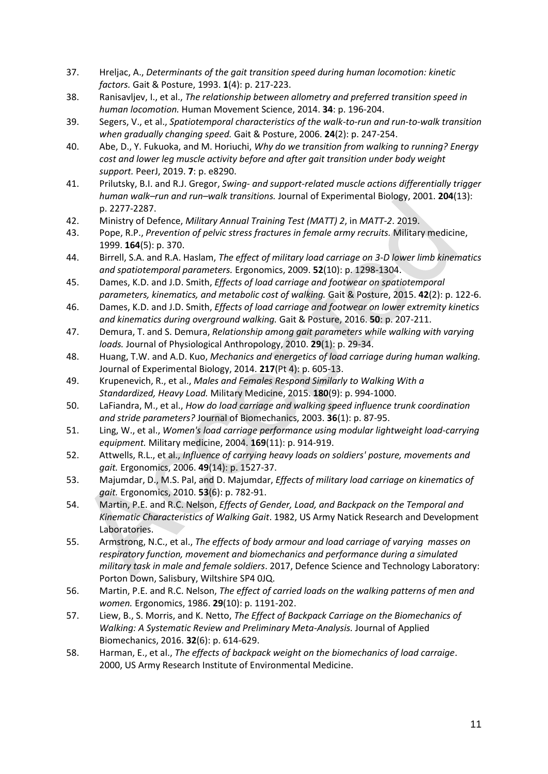- 37. Hreljac, A., *Determinants of the gait transition speed during human locomotion: kinetic factors.* Gait & Posture, 1993. **1**(4): p. 217-223.
- 38. Ranisavljev, I., et al., *The relationship between allometry and preferred transition speed in human locomotion.* Human Movement Science, 2014. **34**: p. 196-204.
- 39. Segers, V., et al., *Spatiotemporal characteristics of the walk-to-run and run-to-walk transition when gradually changing speed.* Gait & Posture, 2006. **24**(2): p. 247-254.
- 40. Abe, D., Y. Fukuoka, and M. Horiuchi, *Why do we transition from walking to running? Energy cost and lower leg muscle activity before and after gait transition under body weight support.* PeerJ, 2019. **7**: p. e8290.
- 41. Prilutsky, B.I. and R.J. Gregor, *Swing- and support-related muscle actions differentially trigger human walk–run and run–walk transitions.* Journal of Experimental Biology, 2001. **204**(13): p. 2277-2287.
- 42. Ministry of Defence, *Military Annual Training Test (MATT) 2*, in *MATT-2*. 2019.
- 43. Pope, R.P., *Prevention of pelvic stress fractures in female army recruits.* Military medicine, 1999. **164**(5): p. 370.
- 44. Birrell, S.A. and R.A. Haslam, *The effect of military load carriage on 3-D lower limb kinematics and spatiotemporal parameters.* Ergonomics, 2009. **52**(10): p. 1298-1304.
- 45. Dames, K.D. and J.D. Smith, *Effects of load carriage and footwear on spatiotemporal parameters, kinematics, and metabolic cost of walking.* Gait & Posture, 2015. **42**(2): p. 122-6.
- 46. Dames, K.D. and J.D. Smith, *Effects of load carriage and footwear on lower extremity kinetics and kinematics during overground walking.* Gait & Posture, 2016. **50**: p. 207-211.
- 47. Demura, T. and S. Demura, *Relationship among gait parameters while walking with varying loads.* Journal of Physiological Anthropology, 2010. **29**(1): p. 29-34.
- 48. Huang, T.W. and A.D. Kuo, *Mechanics and energetics of load carriage during human walking.* Journal of Experimental Biology, 2014. **217**(Pt 4): p. 605-13.
- 49. Krupenevich, R., et al., *Males and Females Respond Similarly to Walking With a Standardized, Heavy Load.* Military Medicine, 2015. **180**(9): p. 994-1000.
- 50. LaFiandra, M., et al., *How do load carriage and walking speed influence trunk coordination and stride parameters?* Journal of Biomechanics, 2003. **36**(1): p. 87-95.
- 51. Ling, W., et al., *Women's load carriage performance using modular lightweight load-carrying equipment.* Military medicine, 2004. **169**(11): p. 914-919.
- 52. Attwells, R.L., et al., *Influence of carrying heavy loads on soldiers' posture, movements and gait.* Ergonomics, 2006. **49**(14): p. 1527-37.
- 53. Majumdar, D., M.S. Pal, and D. Majumdar, *Effects of military load carriage on kinematics of gait.* Ergonomics, 2010. **53**(6): p. 782-91.
- 54. Martin, P.E. and R.C. Nelson, *Effects of Gender, Load, and Backpack on the Temporal and Kinematic Characteristics of Walking Gait*. 1982, US Army Natick Research and Development Laboratories.
- 55. Armstrong, N.C., et al., *The effects of body armour and load carriage of varying masses on respiratory function, movement and biomechanics and performance during a simulated military task in male and female soldiers*. 2017, Defence Science and Technology Laboratory: Porton Down, Salisbury, Wiltshire SP4 0JQ.
- 56. Martin, P.E. and R.C. Nelson, *The effect of carried loads on the walking patterns of men and women.* Ergonomics, 1986. **29**(10): p. 1191-202.
- 57. Liew, B., S. Morris, and K. Netto, *The Effect of Backpack Carriage on the Biomechanics of Walking: A Systematic Review and Preliminary Meta-Analysis.* Journal of Applied Biomechanics, 2016. **32**(6): p. 614-629.
- 58. Harman, E., et al., *The effects of backpack weight on the biomechanics of load carraige*. 2000, US Army Research Institute of Environmental Medicine.